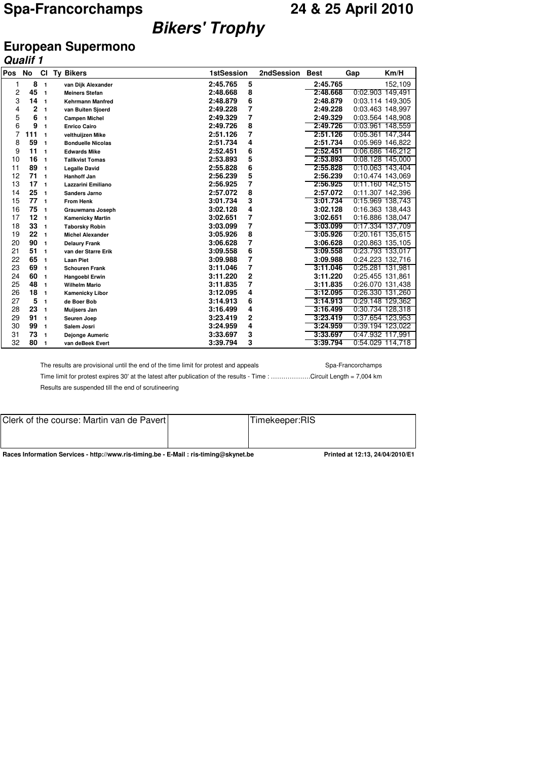# **Bikers' Trophy**

## **European Supermono**

|     | <b>Qualif 1</b> |                |                           |                   |            |             |                  |                  |
|-----|-----------------|----------------|---------------------------|-------------------|------------|-------------|------------------|------------------|
| Pos | <b>No</b>       | <b>CI</b>      | <b>Ty Bikers</b>          | <b>1stSession</b> | 2ndSession | <b>Best</b> | Gap              | Km/H             |
| 1   | 8               | $\mathbf{1}$   | van Dijk Alexander        | 5<br>2:45.765     |            | 2:45.765    |                  | 152,109          |
| 2   | 45              | $\overline{1}$ | <b>Meiners Stefan</b>     | 8<br>2:48.668     |            | 2:48.668    |                  | 0:02.903 149,491 |
| 3   | 14              | $\mathbf{1}$   | <b>Kehrmann Manfred</b>   | 6<br>2:48.879     |            | 2:48.879    | 0:03.114 149,305 |                  |
| 4   | $\overline{2}$  | $\mathbf{1}$   | van Buiten Sjoerd         | 7<br>2:49.228     |            | 2:49.228    |                  | 0:03.463 148,997 |
| 5   | 6               | $\mathbf{1}$   | <b>Campen Michel</b>      | 7<br>2:49.329     |            | 2:49.329    |                  | 0:03.564 148,908 |
| 6   | 9               | $\mathbf{1}$   | <b>Enrico Cairo</b>       | 8<br>2:49.726     |            | 2:49.726    |                  | 0:03.961 148,559 |
| 7   | 111             | $\mathbf{1}$   | velthuijzen Mike          | 7<br>2:51.126     |            | 2:51.126    |                  | 0:05.361 147,344 |
| 8   | 59              | $\mathbf{1}$   | <b>Bonduelle Nicolas</b>  | 4<br>2:51.734     |            | 2:51.734    |                  | 0:05.969 146,822 |
| 9   | 11              | $\mathbf{1}$   | <b>Edwards Mike</b>       | 6<br>2:52.451     |            | 2:52.451    |                  | 0:06.686 146,212 |
| 10  | 16              | $\mathbf{1}$   | <b>Tallkvist Tomas</b>    | 5<br>2:53.893     |            | 2:53.893    |                  | 0:08.128 145,000 |
| 11  | 89              | $\mathbf{1}$   | <b>Legalle David</b>      | 6<br>2:55.828     |            | 2:55.828    |                  | 0:10.063 143,404 |
| 12  | 71              | $\overline{1}$ | <b>Hanhoff Jan</b>        | 5<br>2:56.239     |            | 2:56.239    |                  | 0:10.474 143,069 |
| 13  | 17              | $\overline{1}$ | <b>Lazzarini Emiliano</b> | 7<br>2:56.925     |            | 2:56.925    |                  | 0:11.160 142,515 |
| 14  | 25              | $\mathbf{1}$   | <b>Sanders Jarno</b>      | 8<br>2:57.072     |            | 2:57.072    |                  | 0:11.307 142,396 |
| 15  | 77              | $\mathbf{1}$   | <b>From Henk</b>          | 3<br>3:01.734     |            | 3:01.734    |                  | 0:15.969 138,743 |
| 16  | 75              | $\overline{1}$ | <b>Grauwmans Joseph</b>   | 4<br>3:02.128     |            | 3:02.128    |                  | 0:16.363 138,443 |
| 17  | 12              | $\mathbf{1}$   | <b>Kamenicky Martin</b>   | 7<br>3:02.651     |            | 3:02.651    |                  | 0:16.886 138,047 |
| 18  | 33              | $\overline{1}$ | <b>Taborsky Robin</b>     | 7<br>3:03.099     |            | 3:03.099    |                  | 0:17.334 137,709 |
| 19  | 22              | $\overline{1}$ | <b>Michel Alexander</b>   | 8<br>3:05.926     |            | 3:05.926    |                  | 0:20.161 135,615 |
| 20  | 90              | $\overline{1}$ | <b>Delaury Frank</b>      | 7<br>3:06.628     |            | 3:06.628    |                  | 0:20.863 135,105 |
| 21  | 51              | $\mathbf{1}$   | van der Starre Erik       | 6<br>3:09.558     |            | 3:09.558    |                  | 0:23.793 133,017 |
| 22  | 65              | $\mathbf{1}$   | <b>Laan Piet</b>          | 7<br>3:09.988     |            | 3:09.988    |                  | 0:24.223 132,716 |
| 23  | 69              | $\mathbf{1}$   | <b>Schouren Frank</b>     | 7<br>3:11.046     |            | 3:11.046    |                  | 0:25.281 131,981 |
| 24  | 60              | $\mathbf{1}$   | <b>Hangoebl Erwin</b>     | 2<br>3:11.220     |            | 3:11.220    | 0:25.455 131,861 |                  |
| 25  | 48              | $\mathbf{1}$   | <b>Wilhelm Mario</b>      | 7<br>3:11.835     |            | 3:11.835    |                  | 0:26.070 131,438 |
| 26  | 18              | $\overline{1}$ | <b>Kamenicky Libor</b>    | 4<br>3:12.095     |            | 3:12.095    |                  | 0:26.330 131,260 |
| 27  | 5               | $\mathbf{1}$   | de Boer Bob               | 6<br>3:14.913     |            | 3:14.913    |                  | 0:29.148 129.362 |
| 28  | 23              | $\mathbf{1}$   | Muijsers Jan              | 4<br>3:16.499     |            | 3:16.499    |                  | 0:30.734 128,318 |
| 29  | 91              | $\mathbf{1}$   | Seuren Joep               | 2<br>3:23.419     |            | 3:23.419    |                  | 0:37.654 123,953 |
| 30  | 99              | $\mathbf{1}$   | Salem Josri               | 4<br>3:24.959     |            | 3:24.959    |                  | 0:39.194 123,022 |
| 31  | 73              | $\mathbf{1}$   | Dejonge Aumeric           | 3<br>3:33.697     |            | 3:33.697    | 0:47.932 117,991 |                  |
| 32  | 80              | $\mathbf{1}$   | van deBeek Evert          | 3<br>3:39.794     |            | 3:39.794    |                  | 0:54.029 114,718 |

The results are provisional until the end of the time limit for protest and appeals Spa-Francorchamps

Time limit for protest expires 30' at the latest after publication of the results - Time : …………………Circuit Length = 7,004 km Results are suspended till the end of scrutineering

| Clerk of the course: Martin van de Pavert | Timekeeper:RIS |
|-------------------------------------------|----------------|
|                                           |                |
|                                           |                |
|                                           |                |

**Races Information Services - http://www.ris-timing.be - E-Mail : ris-timing@skynet.be Printed at 12:13, 24/04/2010/E1**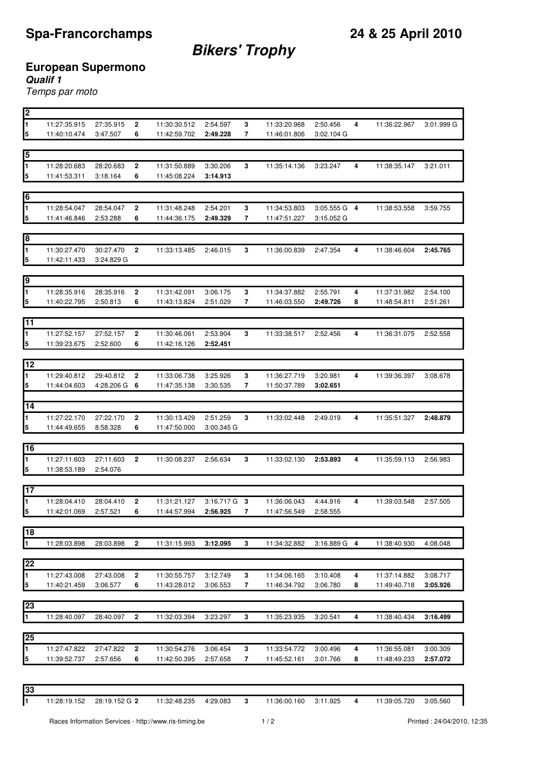**Bikers' Trophy**

## **European Supermono**

**Qualif 1**

Temps par moto

| <u> 2</u>               |                              |                       |              |              |                |   |              |                |   |              |            |
|-------------------------|------------------------------|-----------------------|--------------|--------------|----------------|---|--------------|----------------|---|--------------|------------|
| 1                       | 11:27:35.915                 | 27:35.915             | 2            | 11:30:30.512 | 2:54.597       | 3 | 11:33:20.968 | 2:50.456       | 4 | 11:36:22.967 | 3:01.999 G |
| 5                       | 11:40:10.474                 | 3:47.507              | 6            | 11:42:59.702 | 2:49.228       | 7 | 11:46:01.806 | 3:02.104 G     |   |              |            |
|                         |                              |                       |              |              |                |   |              |                |   |              |            |
| 5                       |                              |                       |              |              |                |   |              |                |   |              |            |
| $\overline{\mathbf{1}}$ | 11:28:20.683                 | 28:20.683             | 2            | 11:31:50.889 | 3:30.206       | 3 | 11:35:14.136 | 3:23.247       | 4 | 11:38:35.147 | 3:21.011   |
| $\overline{5}$          | 11:41:53.311                 | 3:18.164              | 6            | 11:45:08.224 | 3:14.913       |   |              |                |   |              |            |
|                         |                              |                       |              |              |                |   |              |                |   |              |            |
| $6\overline{6}$         |                              |                       |              |              |                |   |              |                |   |              |            |
| I1                      | 11:28:54.047                 | 28:54.047             | 2            | 11:31:48.248 | 2:54.201       | 3 | 11:34:53.803 | $3:05.555G$ 4  |   | 11:38:53.558 | 3:59.755   |
| 5                       | 11:41:46.846                 | 2:53.288              | 6            | 11:44:36.175 | 2:49.329       | 7 | 11:47:51.227 | 3:15.052 G     |   |              |            |
|                         |                              |                       |              |              |                |   |              |                |   |              |            |
| 8                       |                              |                       |              |              |                |   |              |                |   |              |            |
| $\overline{\mathbf{1}}$ | 11:30:27.470                 | 30:27.470             | 2            | 11:33:13.485 | 2:46.015       | 3 | 11:36:00.839 | 2:47.354       | 4 | 11:38:46.604 | 2:45.765   |
| ļ5                      | 11:42:11.433                 | 3:24.829 G            |              |              |                |   |              |                |   |              |            |
|                         |                              |                       |              |              |                |   |              |                |   |              |            |
| 9                       |                              |                       |              |              |                |   |              |                |   |              |            |
| ł1                      | 11:28:35.916                 | 28:35.916             | 2            | 11:31:42.091 | 3:06.175       | 3 | 11:34:37.882 | 2:55.791       | 4 | 11:37:31.982 | 2:54.100   |
| 5                       | 11:40:22.795                 | 2:50.813              | 6            | 11:43:13.824 | 2:51.029       | 7 | 11:46:03.550 | 2:49.726       | 8 | 11:48:54.811 | 2:51.261   |
|                         |                              |                       |              |              |                |   |              |                |   |              |            |
| $\overline{11}$         |                              |                       |              |              |                |   |              |                |   |              |            |
| $\mathbf{1}$            | 11:27:52.157                 | 27:52.157             | 2            | 11:30:46.061 | 2:53.904       | 3 | 11:33:38.517 | 2:52.456       | 4 | 11:36:31.075 | 2:52.558   |
| 5                       | 11:39:23.675                 | 2:52.600              | 6            | 11:42:16.126 | 2:52.451       |   |              |                |   |              |            |
|                         |                              |                       |              |              |                |   |              |                |   |              |            |
| 12                      |                              |                       |              |              |                |   |              |                |   |              |            |
|                         |                              |                       |              |              |                |   |              |                |   |              |            |
| 1                       | 11:29:40.812                 | 29:40.812             | 2            | 11:33:06.738 | 3:25.926       | 3 | 11:36:27.719 | 3:20.981       | 4 | 11:39:36.397 | 3:08.678   |
| 15                      | 11:44:04.603                 | 4:28.206 G            | 6            | 11:47:35.138 | 3:30.535       | 7 | 11:50:37.789 | 3:02.651       |   |              |            |
| $\overline{14}$         |                              |                       |              |              |                |   |              |                |   |              |            |
|                         |                              |                       |              |              |                |   |              |                |   |              |            |
| 1                       | 11:27:22.170                 | 27:22.170             | 2            | 11:30:13.429 | 2:51.259       | 3 | 11:33:02.448 | 2:49.019       | 4 | 11:35:51.327 | 2:48.879   |
| $\overline{\mathbf{5}}$ | 11:44:49.655                 | 8:58.328              | 6            | 11:47:50.000 | 3:00.345 G     |   |              |                |   |              |            |
| 16                      |                              |                       |              |              |                |   |              |                |   |              |            |
| 1                       |                              |                       |              |              |                |   |              |                |   |              |            |
|                         | 11:27:11.603<br>11:38:53.189 | 27:11.603<br>2:54.076 | 2            | 11:30:08.237 | 2:56.634       | 3 | 11:33:02.130 | 2:53.893       | 4 | 11:35:59.113 | 2:56.983   |
| 5                       |                              |                       |              |              |                |   |              |                |   |              |            |
| 17                      |                              |                       |              |              |                |   |              |                |   |              |            |
| $\blacksquare$          |                              |                       |              |              |                |   |              |                |   |              |            |
| 5                       | 11:28:04.410                 | 28:04.410             | 2            | 11:31:21.127 | $3:16.717$ G 3 |   | 11:36:06.043 | 4:44.916       | 4 | 11:39:03.548 | 2:57.505   |
|                         | 11:42:01.069                 | 2:57.521              | 6            | 11:44:57.994 | 2:56.925       | 7 | 11:47:56.549 | 2:58.555       |   |              |            |
| 18                      |                              |                       |              |              |                |   |              |                |   |              |            |
|                         |                              |                       |              |              |                |   |              |                |   |              |            |
| I1                      | 11:28:03.898                 | 28:03.898             | 2            | 11:31:15.993 | 3:12.095       | 3 | 11:34:32.882 | $3:16.889$ G 4 |   | 11:38:40.930 | 4:08.048   |
| 22                      |                              |                       |              |              |                |   |              |                |   |              |            |
| $\blacksquare$          |                              |                       |              |              |                |   |              |                |   |              |            |
|                         | 11:27:43.008                 | 27:43.008             | 2            | 11:30:55.757 | 3:12.749       | 3 | 11:34:06.165 | 3:10.408       | 4 | 11:37:14.882 | 3:08.717   |
| $\overline{5}$          | 11:40:21.459                 | 3:06.577              | 6            | 11:43:28.012 | 3:06.553       | 7 | 11:46:34.792 | 3:06.780       | 8 | 11:49:40.718 | 3:05.926   |
|                         |                              |                       |              |              |                |   |              |                |   |              |            |
| 23                      |                              |                       |              |              |                |   |              |                |   |              |            |
| $\overline{1}$          | 11:28:40.097                 | 28:40.097             | $\mathbf 2$  | 11:32:03.394 | 3:23.297       | 3 | 11:35:23.935 | 3:20.541       | 4 | 11:38:40.434 | 3:16.499   |
|                         |                              |                       |              |              |                |   |              |                |   |              |            |
|                         |                              |                       |              |              |                |   |              |                |   |              |            |
| 25                      |                              |                       |              |              |                |   |              |                |   |              |            |
| 1                       | 11:27:47.822                 | 27:47.822             | $\mathbf{2}$ | 11:30:54.276 | 3:06.454       | 3 | 11:33:54.772 | 3:00.496       | 4 | 11:36:55.081 | 3:00.309   |
| ļ5                      | 11:39:52.737                 | 2:57.656              | 6            | 11:42:50.395 | 2:57.658       | 7 | 11:45:52.161 | 3:01.766       | 8 | 11:48:49.233 | 2:57.072   |

11:28:19.152 28:19.152 G **2** 11:32:48.235 4:29.083 **3** 11:36:00.160 3:11.925 **4** 11:39:05.720 3:05.560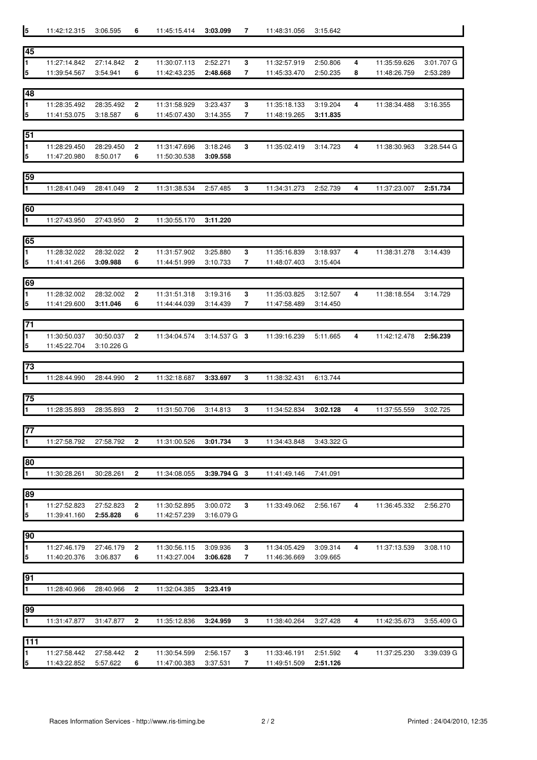| $\overline{5}$                   | 11:42:12.315                 | 3:06.595              | 6      | 11:45:15.414                 | 3:03.099             | 7      | 11:48:31.056                 | 3:15.642             |   |              |            |
|----------------------------------|------------------------------|-----------------------|--------|------------------------------|----------------------|--------|------------------------------|----------------------|---|--------------|------------|
|                                  |                              |                       |        |                              |                      |        |                              |                      |   |              |            |
| 45                               |                              |                       |        |                              |                      |        |                              |                      |   |              |            |
| $\overline{\mathbf{1}}$          | 11:27:14.842                 | 27:14.842             | 2      | 11:30:07.113                 | 2:52.271             | 3      | 11:32:57.919                 | 2:50.806             | 4 | 11:35:59.626 | 3:01.707 G |
| $\overline{5}$                   | 11:39:54.567                 | 3:54.941              | 6      | 11:42:43.235                 | 2:48.668             | 7      | 11:45:33.470                 | 2:50.235             | 8 | 11:48:26.759 | 2:53.289   |
| 48                               |                              |                       |        |                              |                      |        |                              |                      |   |              |            |
| $\blacksquare$                   | 11:28:35.492                 | 28:35.492             |        |                              | 3:23.437             | 3      | 11:35:18.133                 | 3:19.204             | 4 |              |            |
| $\overline{5}$                   | 11:41:53.075                 | 3:18.587              | 2<br>6 | 11:31:58.929<br>11:45:07.430 | 3:14.355             | 7      | 11:48:19.265                 | 3:11.835             |   | 11:38:34.488 | 3:16.355   |
|                                  |                              |                       |        |                              |                      |        |                              |                      |   |              |            |
| 51                               |                              |                       |        |                              |                      |        |                              |                      |   |              |            |
| $\blacksquare$                   | 11:28:29.450                 | 28:29.450             | 2      | 11:31:47.696                 | 3:18.246             | 3      | 11:35:02.419                 | 3:14.723             | 4 | 11:38:30.963 | 3:28.544 G |
| $\overline{\mathbf{5}}$          | 11:47:20.980                 | 8:50.017              | 6      | 11:50:30.538                 | 3:09.558             |        |                              |                      |   |              |            |
|                                  |                              |                       |        |                              |                      |        |                              |                      |   |              |            |
| 59                               |                              |                       |        |                              |                      |        |                              |                      |   |              |            |
| $\overline{\mathbf{1}}$          | 11:28:41.049                 | 28:41.049             | 2      | 11:31:38.534                 | 2:57.485             | 3      | 11:34:31.273                 | 2:52.739             | 4 | 11:37:23.007 | 2:51.734   |
|                                  |                              |                       |        |                              |                      |        |                              |                      |   |              |            |
| 60                               |                              |                       |        |                              |                      |        |                              |                      |   |              |            |
| $\overline{\mathbf{1}}$          | 11:27:43.950                 | 27:43.950             | 2      | 11:30:55.170                 | 3:11.220             |        |                              |                      |   |              |            |
|                                  |                              |                       |        |                              |                      |        |                              |                      |   |              |            |
| 65                               |                              |                       |        |                              |                      |        |                              |                      |   |              |            |
| $\blacksquare$<br>$\overline{5}$ | 11:28:32.022<br>11:41:41.266 | 28:32.022<br>3:09.988 | 2<br>6 | 11:31:57.902<br>11:44:51.999 | 3:25.880<br>3:10.733 | 3<br>7 | 11:35:16.839<br>11:48:07.403 | 3:18.937<br>3:15.404 | 4 | 11:38:31.278 | 3:14.439   |
|                                  |                              |                       |        |                              |                      |        |                              |                      |   |              |            |
| 69                               |                              |                       |        |                              |                      |        |                              |                      |   |              |            |
| 1                                | 11:28:32.002                 | 28:32.002             | 2      | 11:31:51.318                 | 3:19.316             | 3      | 11:35:03.825                 | 3:12.507             | 4 | 11:38:18.554 | 3:14.729   |
| $\overline{5}$                   | 11:41:29.600                 | 3:11.046              | 6      | 11:44:44.039                 | 3:14.439             | 7      | 11:47:58.489                 | 3:14.450             |   |              |            |
|                                  |                              |                       |        |                              |                      |        |                              |                      |   |              |            |
| 71                               |                              |                       |        |                              |                      |        |                              |                      |   |              |            |
| $\overline{\mathbf{1}}$          | 11:30:50.037                 | 30:50.037             | 2      | 11:34:04.574                 | $3:14.537$ G $3$     |        | 11:39:16.239                 | 5:11.665             | 4 | 11:42:12.478 | 2:56.239   |
| $\overline{5}$                   | 11:45:22.704                 | 3:10.226 G            |        |                              |                      |        |                              |                      |   |              |            |
|                                  |                              |                       |        |                              |                      |        |                              |                      |   |              |            |
| 73                               |                              |                       |        |                              |                      |        |                              |                      |   |              |            |
| $\overline{\mathbf{1}}$          | 11:28:44.990                 | 28:44.990             | 2      | 11:32:18.687                 | 3:33.697             | 3      | 11:38:32.431                 | 6:13.744             |   |              |            |
| 75                               |                              |                       |        |                              |                      |        |                              |                      |   |              |            |
| $\overline{1}$                   | 11:28:35.893                 | 28:35.893             | 2      | 11:31:50.706                 | 3:14.813             | 3      | 11:34:52.834                 | 3:02.128             | 4 | 11:37:55.559 | 3:02.725   |
|                                  |                              |                       |        |                              |                      |        |                              |                      |   |              |            |
| 77                               |                              |                       |        |                              |                      |        |                              |                      |   |              |            |
| $\mathbf{1}$                     | 11:27:58.792                 | 27:58.792             | 2      | 11:31:00.526                 | 3:01.734             | 3      | 11:34:43.848                 | 3:43.322 G           |   |              |            |
|                                  |                              |                       |        |                              |                      |        |                              |                      |   |              |            |
| 80                               |                              |                       |        |                              |                      |        |                              |                      |   |              |            |
| $\overline{1}$                   | 11:30:28.261                 | 30:28.261             | 2      | 11:34:08.055                 | 3:39.794 G 3         |        | 11:41:49.146                 | 7:41.091             |   |              |            |
|                                  |                              |                       |        |                              |                      |        |                              |                      |   |              |            |
| 89                               |                              |                       |        |                              |                      |        |                              |                      |   |              |            |
| $\overline{1}$                   | 11:27:52.823                 | 27:52.823             | 2      | 11:30:52.895                 | 3:00.072             | 3      | 11:33:49.062                 | 2:56.167             | 4 | 11:36:45.332 | 2:56.270   |
| $\overline{\mathbf{5}}$          | 11:39:41.160                 | 2:55.828              | 6      | 11:42:57.239                 | $3:16.079$ G         |        |                              |                      |   |              |            |
|                                  |                              |                       |        |                              |                      |        |                              |                      |   |              |            |
| 90<br>$\overline{1}$             |                              |                       |        |                              |                      |        |                              |                      |   |              |            |
| $\overline{\mathbf{5}}$          | 11:27:46.179<br>11:40:20.376 | 27:46.179<br>3:06.837 | 2<br>6 | 11:30:56.115<br>11:43:27.004 | 3:09.936<br>3:06.628 | 3<br>7 | 11:34:05.429<br>11:46:36.669 | 3:09.314<br>3:09.665 | 4 | 11:37:13.539 | 3:08.110   |
|                                  |                              |                       |        |                              |                      |        |                              |                      |   |              |            |
| 91                               |                              |                       |        |                              |                      |        |                              |                      |   |              |            |
| $\overline{1}$                   | 11:28:40.966                 | 28:40.966             | 2      | 11:32:04.385                 | 3:23.419             |        |                              |                      |   |              |            |
|                                  |                              |                       |        |                              |                      |        |                              |                      |   |              |            |
| 99                               |                              |                       |        |                              |                      |        |                              |                      |   |              |            |
| $\overline{1}$                   | 11:31:47.877                 | 31:47.877             | 2      | 11:35:12.836                 | 3:24.959             | 3      | 11:38:40.264                 | 3:27.428             | 4 | 11:42:35.673 | 3:55.409 G |
|                                  |                              |                       |        |                              |                      |        |                              |                      |   |              |            |
| 111                              |                              |                       |        |                              |                      |        |                              |                      |   |              |            |
| $\overline{1}$                   | 11:27:58.442                 | 27:58.442             | 2      | 11:30:54.599                 | 2:56.157             | 3      | 11:33:46.191                 | 2:51.592             | 4 | 11:37:25.230 | 3:39.039 G |
| 5                                | 11:43:22.852   5:57.622      |                       | 6      | 11:47:00.383                 | 3:37.531             | 7      | 11:49:51.509                 | 2:51.126             |   |              |            |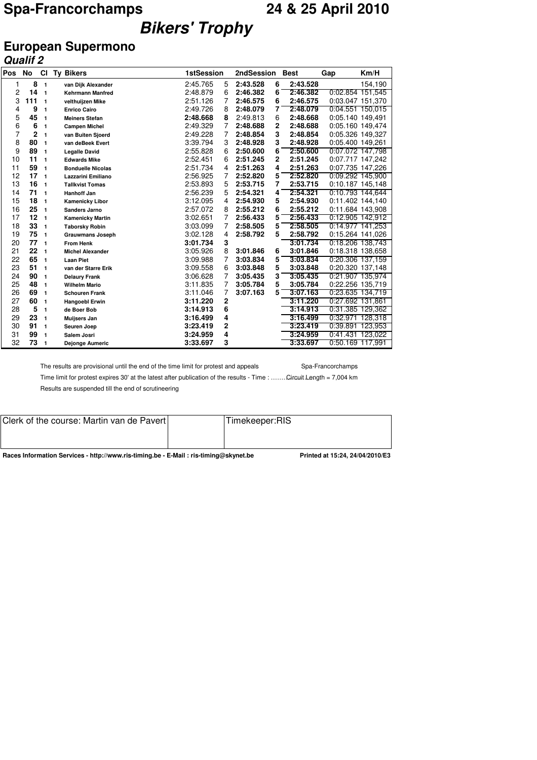## **Spa-Francorchamps 24 & 25 April 2010 Bikers' Trophy**

### **European Supermono**

|     | <b>Qualif 2</b> |                |                  |                          |                   |             |            |                |             |                  |                  |
|-----|-----------------|----------------|------------------|--------------------------|-------------------|-------------|------------|----------------|-------------|------------------|------------------|
| Pos | No              | <b>CI</b>      | <b>Ty Bikers</b> |                          | <b>1stSession</b> |             | 2ndSession |                | <b>Best</b> | Gap              | Km/H             |
| 1   | 8               | $\mathbf{1}$   |                  | van Dijk Alexander       | 2:45.765          | 5           | 2:43.528   | 6              | 2:43.528    |                  | 154,190          |
| 2   | 14              | $\mathbf{1}$   |                  | <b>Kehrmann Manfred</b>  | 2:48.879          | 6           | 2:46.382   | 6              | 2:46.382    | 0:02.854 151,545 |                  |
| 3   | 111             | 1              |                  | velthuijzen Mike         | 2:51.126          | 7           | 2:46.575   | 6              | 2:46.575    | 0:03.047 151,370 |                  |
| 4   | 9               | 1              |                  | <b>Enrico Cairo</b>      | 2:49.726          | 8           | 2:48.079   | 7              | 2:48.079    |                  | 0:04.551 150,015 |
| 5   | 45              | $\mathbf{1}$   |                  | <b>Meiners Stefan</b>    | 2:48.668          | 8           | 2:49.813   | 6              | 2:48.668    | 0:05.140 149,491 |                  |
| 6   | 6               | 1              |                  | <b>Campen Michel</b>     | 2:49.329          | 7           | 2:48.688   | $\overline{2}$ | 2:48.688    | 0:05.160 149,474 |                  |
| 7   | $\overline{2}$  | $\mathbf{1}$   |                  | van Buiten Sjoerd        | 2:49.228          | 7           | 2:48.854   | 3              | 2:48.854    | 0:05.326 149,327 |                  |
| 8   | 80              | 1              |                  | van deBeek Evert         | 3:39.794          | 3           | 2:48.928   | 3              | 2:48.928    | 0:05.400 149,261 |                  |
| 9   | 89              | 1              |                  | <b>Legalle David</b>     | 2:55.828          | 6           | 2:50.600   | 6              | 2:50.600    | 0:07.072 147,798 |                  |
| 10  | 11              | 1              |                  | <b>Edwards Mike</b>      | 2:52.451          | 6           | 2:51.245   | 2              | 2:51.245    | 0:07.717 147.242 |                  |
| 11  | 59              | $\mathbf{1}$   |                  | <b>Bonduelle Nicolas</b> | 2:51.734          | 4           | 2:51.263   | 4              | 2:51.263    | 0:07.735 147,226 |                  |
| 12  | 17              | $\blacksquare$ |                  | Lazzarini Emiliano       | 2:56.925          | 7           | 2:52.820   | 5              | 2:52.820    | 0:09.292 145,900 |                  |
| 13  | 16              | 1              |                  | <b>Tallkvist Tomas</b>   | 2:53.893          | 5           | 2:53.715   | 7              | 2:53.715    | 0:10.187 145,148 |                  |
| 14  | 71              | $\mathbf{1}$   |                  | Hanhoff Jan              | 2:56.239          | 5           | 2:54.321   | 4              | 2:54.321    |                  | 0:10.793 144,644 |
| 15  | 18              | 1              |                  | <b>Kamenicky Libor</b>   | 3:12.095          | 4           | 2:54.930   | 5              | 2:54.930    | 0:11.402 144,140 |                  |
| 16  | 25              | 1              |                  | <b>Sanders Jarno</b>     | 2:57.072          | 8           | 2:55.212   | 6              | 2:55.212    | 0:11.684 143,908 |                  |
| 17  | 12              | $\mathbf{1}$   |                  | <b>Kamenicky Martin</b>  | 3:02.651          | 7           | 2:56.433   | 5              | 2:56.433    |                  | 0:12.905 142,912 |
| 18  | 33              | $\mathbf{1}$   |                  | <b>Taborsky Robin</b>    | 3:03.099          | 7           | 2:58.505   | 5              | 2:58.505    | 0:14.977 141,253 |                  |
| 19  | 75              | $\mathbf{1}$   |                  | <b>Grauwmans Joseph</b>  | 3:02.128          | 4           | 2:58.792   | 5              | 2:58.792    | 0:15.264 141.026 |                  |
| 20  | 77              | 1              |                  | <b>From Henk</b>         | 3:01.734          | 3           |            |                | 3:01.734    |                  | 0:18.206 138,743 |
| 21  | 22              | 1              |                  | <b>Michel Alexander</b>  | 3:05.926          | 8           | 3:01.846   | 6              | 3:01.846    | 0:18.318 138,658 |                  |
| 22  | 65              | 1              |                  | <b>Laan Piet</b>         | 3:09.988          | 7           | 3:03.834   | 5              | 3:03.834    | 0:20.306 137,159 |                  |
| 23  | 51              | 1              |                  | van der Starre Erik      | 3:09.558          | 6           | 3:03.848   | 5              | 3:03.848    | 0:20.320 137,148 |                  |
| 24  | 90              | $\mathbf{1}$   |                  | <b>Delaury Frank</b>     | 3:06.628          | 7           | 3:05.435   | 3              | 3:05.435    |                  | 0:21.907 135,974 |
| 25  | 48              | $\mathbf{1}$   |                  | <b>Wilhelm Mario</b>     | 3:11.835          | 7           | 3:05.784   | 5              | 3:05.784    | 0:22.256 135,719 |                  |
| 26  | 69              | 1              |                  | <b>Schouren Frank</b>    | 3:11.046          | 7           | 3:07.163   | 5              | 3:07.163    | 0:23.635 134,719 |                  |
| 27  | 60              | $\mathbf{1}$   |                  | <b>Hangoebl Erwin</b>    | 3:11.220          | $\mathbf 2$ |            |                | 3:11.220    | 0:27.692 131,861 |                  |
| 28  | 5               | 1              |                  | de Boer Bob              | 3:14.913          | 6           |            |                | 3:14.913    | 0:31.385 129,362 |                  |
| 29  | 23              | 1              |                  | Muijsers Jan             | 3:16.499          | 4           |            |                | 3:16.499    | 0:32.971 128.318 |                  |
| 30  | 91              | 1              |                  | Seuren Joep              | 3:23.419          | 2           |            |                | 3:23.419    |                  | 0:39.891 123,953 |
| 31  | 99              | $\mathbf{1}$   |                  | Salem Josri              | 3:24.959          | 4           |            |                | 3:24.959    | 0:41.431 123,022 |                  |
| 32  | 73              | 1              |                  | Dejonge Aumeric          | 3:33.697          | 3           |            |                | 3:33.697    | 0:50.169 117.991 |                  |

The results are provisional until the end of the time limit for protest and appeals Spa-Francorchamps

Time limit for protest expires 30' at the latest after publication of the results - Time : ....... Circuit Length = 7,004 km Results are suspended till the end of scrutineering

| <b>Paces Information Conviges - http://www.ris-timing.bo. - E-Mail : ris-timing@elvmot.bo.</b><br>Drintod of 15:04 04/04/0010/E2 |  |                |  |  |  |  |  |  |  |
|----------------------------------------------------------------------------------------------------------------------------------|--|----------------|--|--|--|--|--|--|--|
|                                                                                                                                  |  |                |  |  |  |  |  |  |  |
| Clerk of the course: Martin van de Pavert                                                                                        |  | Timekeeper:RIS |  |  |  |  |  |  |  |

**Races Information Services - http://www.ris-timing.be - E-Mail : ris-timing@skynet.be Printed at 15:24, 24/04/2010/E3**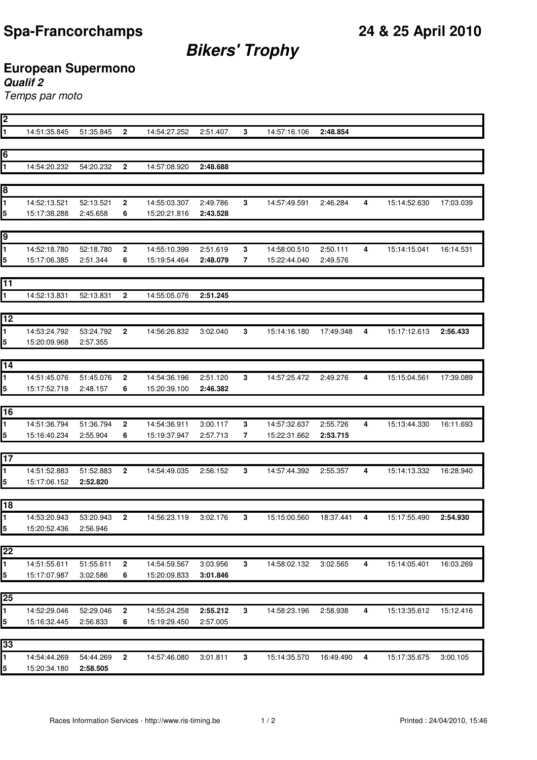# **Bikers' Trophy**

## **European Supermono**

### **Qualif 2**

Temps par moto

| 2  |                              |                       |                         |                              |                      |              |                              |                      |   |              |           |
|----|------------------------------|-----------------------|-------------------------|------------------------------|----------------------|--------------|------------------------------|----------------------|---|--------------|-----------|
| 1  | 14:51:35.845                 | 51:35.845             | $\mathbf{2}$            | 14:54:27.252                 | 2:51.407             | $\mathbf{3}$ | 14:57:16.106                 | 2:48.854             |   |              |           |
|    |                              |                       |                         |                              |                      |              |                              |                      |   |              |           |
| 6  |                              |                       |                         |                              |                      |              |                              |                      |   |              |           |
| 1  | 14:54:20.232                 | 54:20.232             | $\mathbf{2}$            | 14:57:08.920                 | 2:48.688             |              |                              |                      |   |              |           |
|    |                              |                       |                         |                              |                      |              |                              |                      |   |              |           |
| 8  |                              |                       |                         |                              |                      |              |                              |                      |   |              |           |
| 1  | 14:52:13.521                 | 52:13.521             | $\overline{\mathbf{2}}$ | 14:55:03.307                 | 2:49.786             | 3            | 14:57:49.591                 | 2:46.284             | 4 | 15:14:52.630 | 17:03.039 |
| 5  | 15:17:38.288                 | 2:45.658              | 6                       | 15:20:21.816                 | 2:43.528             |              |                              |                      |   |              |           |
|    |                              |                       |                         |                              |                      |              |                              |                      |   |              |           |
| 9  |                              |                       |                         |                              |                      |              |                              |                      |   |              |           |
| 1  | 14:52:18.780                 |                       |                         |                              |                      |              |                              |                      |   |              |           |
|    | 15:17:06.385                 | 52:18.780<br>2:51.344 | $\mathbf 2$<br>6        | 14:55:10.399<br>15:19:54.464 | 2:51.619<br>2:48.079 | 3<br>7       | 14:58:00.510<br>15:22:44.040 | 2:50.111<br>2:49.576 | 4 | 15:14:15.041 | 16:14.531 |
| 5  |                              |                       |                         |                              |                      |              |                              |                      |   |              |           |
| 11 |                              |                       |                         |                              |                      |              |                              |                      |   |              |           |
|    |                              |                       |                         |                              |                      |              |                              |                      |   |              |           |
| 1  | 14:52:13.831                 | 52:13.831             | $\mathbf 2$             | 14:55:05.076                 | 2:51.245             |              |                              |                      |   |              |           |
|    |                              |                       |                         |                              |                      |              |                              |                      |   |              |           |
| 12 |                              |                       |                         |                              |                      |              |                              |                      |   |              |           |
| 1  | 14:53:24.792                 | 53:24.792             | $\mathbf{2}$            | 14:56:26.832                 | 3:02.040             | 3            | 15:14:16.180                 | 17:49.348            | 4 | 15:17:12.613 | 2:56.433  |
| 5  | 15:20:09.968                 | 2:57.355              |                         |                              |                      |              |                              |                      |   |              |           |
|    |                              |                       |                         |                              |                      |              |                              |                      |   |              |           |
| 14 |                              |                       |                         |                              |                      |              |                              |                      |   |              |           |
| 1  | 14:51:45.076                 | 51:45.076             | 2                       | 14:54:36.196                 | 2:51.120             | 3            | 14:57:25.472                 | 2:49.276             | 4 | 15:15:04.561 | 17:39.089 |
| 5  | 15:17:52.718                 | 2:48.157              | 6                       | 15:20:39.100                 | 2:46.382             |              |                              |                      |   |              |           |
|    |                              |                       |                         |                              |                      |              |                              |                      |   |              |           |
| 16 |                              |                       |                         |                              |                      |              |                              |                      |   |              |           |
| 1  | 14:51:36.794                 | 51:36.794             | $\overline{\mathbf{2}}$ | 14:54:36.911                 | 3:00.117             | 3            | 14:57:32.637                 | 2:55.726             | 4 | 15:13:44.330 | 16:11.693 |
| 5  | 15:16:40.234                 | 2:55.904              | 6                       | 15:19:37.947                 | 2:57.713             | 7            | 15:22:31.662                 | 2:53.715             |   |              |           |
|    |                              |                       |                         |                              |                      |              |                              |                      |   |              |           |
| 17 |                              |                       |                         |                              |                      |              |                              |                      |   |              |           |
| 1  | 14:51:52.883                 | 51:52.883             | $\mathbf 2$             | 14:54:49.035                 | 2:56.152             | 3            | 14:57:44.392                 | 2:55.357             | 4 | 15:14:13.332 | 16:28.940 |
| 5  | 15:17:06.152                 | 2:52.820              |                         |                              |                      |              |                              |                      |   |              |           |
|    |                              |                       |                         |                              |                      |              |                              |                      |   |              |           |
| 18 |                              |                       |                         |                              |                      |              |                              |                      |   |              |           |
| 1  | 14:53:20.943                 | 53:20.943             | $\mathbf{2}$            | 14:56:23.119                 | 3:02.176             | 3            | 15:15:00.560                 | 18:37.441            | 4 | 15:17:55.490 | 2:54.930  |
| 5  | 15:20:52.436                 | 2:56.946              |                         |                              |                      |              |                              |                      |   |              |           |
|    |                              |                       |                         |                              |                      |              |                              |                      |   |              |           |
| 22 |                              |                       |                         |                              |                      |              |                              |                      |   |              |           |
| 1  | 14:51:55.611                 | 51:55.611             | 2                       | 14:54:59.567                 | 3:03.956             | 3            | 14:58:02.132                 | 3:02.565             | 4 | 15:14:05.401 | 16:03.269 |
| 5  | 15:17:07.987                 | 3:02.586              | 6                       | 15:20:09.833                 | 3:01.846             |              |                              |                      |   |              |           |
|    |                              |                       |                         |                              |                      |              |                              |                      |   |              |           |
| 25 |                              |                       |                         |                              |                      |              |                              |                      |   |              |           |
| 1  | 14:52:29.046                 | 52:29.046             | 2                       | 14:55:24.258                 | 2:55.212             | 3            | 14:58:23.196                 | 2:58.938             | 4 | 15:13:35.612 | 15:12.416 |
| 5  | 15:16:32.445                 | 2:56.833              | 6                       | 15:19:29.450                 | 2:57.005             |              |                              |                      |   |              |           |
|    |                              |                       |                         |                              |                      |              |                              |                      |   |              |           |
| 33 |                              |                       |                         |                              |                      |              |                              |                      |   |              |           |
|    |                              |                       |                         |                              |                      |              |                              |                      |   |              |           |
| 1  | 14:54:44.269<br>15:20:34.180 | 54:44.269<br>2:58.505 | $\mathbf{2}$            | 14:57:46.080                 | 3:01.811             | $\mathbf{3}$ | 15:14:35.570                 | 16:49.490            | 4 | 15:17:35.675 | 3:00.105  |
| 5  |                              |                       |                         |                              |                      |              |                              |                      |   |              |           |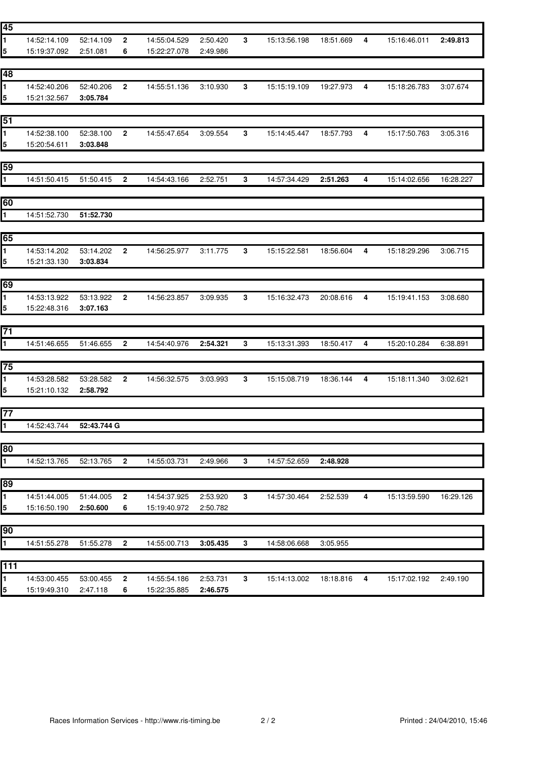| 1<br>52:14.109<br>2<br>14:55:04.529<br>2:50.420<br>3<br>15:13:56.198<br>14:52:14.109<br>18:51.669<br>4                       | 2:49.813<br>15:16:46.011  |
|------------------------------------------------------------------------------------------------------------------------------|---------------------------|
| 5<br>15:19:37.092<br>2:51.081<br>6<br>15:22:27.078<br>2:49.986                                                               |                           |
|                                                                                                                              |                           |
| 48                                                                                                                           |                           |
| 1.<br>14:52:40.206<br>52:40.206<br>$\mathbf{2}$<br>3:10.930<br>3<br>15:15:19.109<br>14:55:51.136<br>19:27.973<br>4           | 15:18:26.783<br>3:07.674  |
| 15:21:32.567<br>5<br>3:05.784                                                                                                |                           |
|                                                                                                                              |                           |
| 51                                                                                                                           |                           |
| 14:52:38.100<br>$\mathbf 3$<br>1.<br>52:38.100<br>$\mathbf{2}$<br>14:55:47.654<br>3:09.554<br>15:14:45.447<br>18:57.793<br>4 | 15:17:50.763<br>3:05.316  |
| 15:20:54.611<br>3:03.848<br>5                                                                                                |                           |
|                                                                                                                              |                           |
| 59                                                                                                                           |                           |
| $\mathbf{1}$<br>14:51:50.415<br>51:50.415<br>$\mathbf{2}$<br>14:54:43.166<br>2:52.751<br>3<br>14:57:34.429<br>2:51.263<br>4  | 15:14:02.656<br>16:28.227 |
|                                                                                                                              |                           |
| 60                                                                                                                           |                           |
| $\mathbf 1$<br>51:52.730<br>14:51:52.730                                                                                     |                           |
|                                                                                                                              |                           |
| 65                                                                                                                           |                           |
| 1<br>14:53:14.202<br>53:14.202<br>2<br>14:56:25.977<br>3:11.775<br>3<br>15:15:22.581<br>18:56.604<br>4                       | 15:18:29.296<br>3:06.715  |
| 5<br>15:21:33.130<br>3:03.834                                                                                                |                           |
|                                                                                                                              |                           |
| 69                                                                                                                           |                           |
| 1<br>53:13.922<br>2<br>14:56:23.857<br>3<br>15:16:32.473<br>4<br>14:53:13.922<br>3:09.935<br>20:08.616                       | 15:19:41.153<br>3:08.680  |
| 5<br>15:22:48.316<br>3:07.163                                                                                                |                           |
|                                                                                                                              |                           |
| 71                                                                                                                           |                           |
| 1<br>15:13:31.393<br>14:51:46.655<br>51:46.655<br>$\mathbf{2}$<br>14:54:40.976<br>2:54.321<br>3<br>18:50.417<br>4            | 15:20:10.284<br>6:38.891  |
|                                                                                                                              |                           |
| 75                                                                                                                           |                           |
| 14:53:28.582<br>53:28.582<br>14:56:32.575<br>15:15:08.719<br>1.<br>2<br>3:03.993<br>3<br>18:36.144<br>4                      | 15:18:11.340<br>3:02.621  |
| 5<br>2:58.792<br>15:21:10.132                                                                                                |                           |
| 77                                                                                                                           |                           |
| 1.                                                                                                                           |                           |
| 14:52:43.744<br>52:43.744 G                                                                                                  |                           |
| 80                                                                                                                           |                           |
| 14:52:13.765<br>14:55:03.731<br>1.<br>2:49.966<br>3<br>14:57:52.659<br>2:48.928                                              |                           |
|                                                                                                                              |                           |
| 52:13.765<br>$\mathbf{2}$                                                                                                    |                           |
|                                                                                                                              |                           |
| 89                                                                                                                           |                           |
| 14:51:44.005<br>51:44.005<br>3<br>$\overline{\mathbf{4}}$<br>2<br>14:54:37.925<br>2:53.920<br>14:57:30.464<br>2:52.539<br>1. | 15:13:59.590<br>16:29.126 |
| 2:50.600<br>6<br>5<br>15:16:50.190<br>15:19:40.972<br>2:50.782                                                               |                           |
|                                                                                                                              |                           |
|                                                                                                                              |                           |
| 14:51:55.278<br>51:55.278<br>$\overline{2}$<br>14:55:00.713<br>3<br>3:05.955<br>3:05.435<br>14:58:06.668                     |                           |
| 90<br>1.                                                                                                                     |                           |
| 111<br>1<br>14:53:00.455<br>53:00.455<br>$\mathbf{2}$<br>14:55:54.186<br>2:53.731<br>3<br>15:14:13.002<br>18:18.816<br>4     | 15:17:02.192<br>2:49.190  |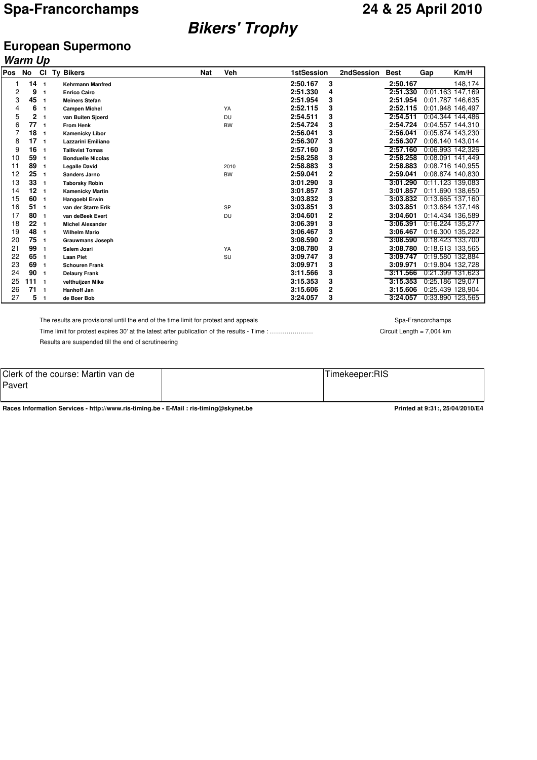## **Bikers' Trophy**

### **European Supermono**

|     | Warm Up         |                         |                          |            |           |                            |            |             |     |                  |
|-----|-----------------|-------------------------|--------------------------|------------|-----------|----------------------------|------------|-------------|-----|------------------|
| Pos | No              | <b>CI</b>               | <b>Ty Bikers</b>         | <b>Nat</b> | Veh       | <b>1stSession</b>          | 2ndSession | <b>Best</b> | Gap | Km/H             |
|     | 14 <sub>1</sub> |                         | <b>Kehrmann Manfred</b>  |            |           | 2:50.167<br>3              |            | 2:50.167    |     | 148,174          |
| 2   | 9               | $\mathbf{1}$            | <b>Enrico Cairo</b>      |            |           | 2:51.330<br>4              |            | 2:51.330    |     | 0:01.163 147,169 |
| 3   | 45              | $\mathbf{1}$            | <b>Meiners Stefan</b>    |            |           | 3<br>2:51.954              |            | 2:51.954    |     | 0:01.787 146,635 |
| 4   | 6               | $\mathbf{1}$            | <b>Campen Michel</b>     |            | YA        | 3<br>2:52.115              |            | 2:52.115    |     | 0:01.948 146,497 |
| 5   | 2               | $\mathbf{1}$            | van Buiten Sjoerd        |            | <b>DU</b> | 3<br>2:54.511              |            | 2:54.511    |     | 0:04.344 144,486 |
| 6   | 77              | $\overline{\mathbf{1}}$ | <b>From Henk</b>         |            | <b>BW</b> | 3<br>2:54.724              |            | 2:54.724    |     | 0:04.557 144,310 |
|     | 18              | $\blacksquare$          | <b>Kamenicky Libor</b>   |            |           | 3<br>2:56.041              |            | 2:56.041    |     | 0:05.874 143.230 |
| 8   | 17              | $\overline{\mathbf{1}}$ | Lazzarini Emiliano       |            |           | 3<br>2:56.307              |            | 2:56.307    |     | 0:06.140 143.014 |
| 9   | 16              | $\blacksquare$          | <b>Tallkvist Tomas</b>   |            |           | 3<br>2:57.160              |            | 2:57.160    |     | 0:06.993 142,326 |
| 10  | 59              | $\blacksquare$          | <b>Bonduelle Nicolas</b> |            |           | 3<br>2:58.258              |            | 2:58.258    |     | 0:08.091 141,449 |
| 11  | 89              | $\mathbf{1}$            | <b>Legalle David</b>     |            | 2010      | 3<br>2:58.883              |            | 2:58.883    |     | 0:08.716 140.955 |
| 12  | 25              | $\mathbf{1}$            | <b>Sanders Jarno</b>     |            | <b>BW</b> | $\overline{2}$<br>2:59.041 |            | 2:59.041    |     | 0:08.874 140,830 |
| 13  | 33              | $\mathbf{1}$            | <b>Taborsky Robin</b>    |            |           | 3<br>3:01.290              |            | 3:01.290    |     | 0:11.123 139,083 |
| 14  | 12              | $\blacksquare$          | <b>Kamenicky Martin</b>  |            |           | 3<br>3:01.857              |            | 3:01.857    |     | 0:11.690 138,650 |
| 15  | 60              | $\overline{\mathbf{1}}$ | <b>Hangoebl Erwin</b>    |            |           | 3<br>3:03.832              |            | 3:03.832    |     | 0:13.665 137,160 |
| 16  | 51              | $\overline{1}$          | van der Starre Erik      |            | <b>SP</b> | 3<br>3:03.851              |            | 3:03.851    |     | 0:13.684 137,146 |
| 17  | 80              | $\mathbf{1}$            | van deBeek Evert         |            | <b>DU</b> | 2<br>3:04.601              |            | 3:04.601    |     | 0:14.434 136,589 |
| 18  | 22              | $\overline{\mathbf{1}}$ | <b>Michel Alexander</b>  |            |           | 3<br>3:06.391              |            | 3:06.391    |     | 0:16.224 135,277 |
| 19  | 48              | $\mathbf{1}$            | <b>Wilhelm Mario</b>     |            |           | 3<br>3:06.467              |            | 3:06.467    |     | 0:16.300 135,222 |
| 20  | 75              | $\mathbf{1}$            | <b>Grauwmans Joseph</b>  |            |           | 2<br>3:08.590              |            | 3:08.590    |     | 0:18.423 133,700 |
| 21  | 99              | $\mathbf{1}$            | Salem Josri              |            | YA        | 3<br>3:08.780              |            | 3:08.780    |     | 0:18.613 133,565 |
| 22  | 65              | $\mathbf{1}$            | <b>Laan Piet</b>         |            | SU        | 3<br>3:09.747              |            | 3:09.747    |     | 0:19.580 132,884 |
| 23  | 69              | $\mathbf{1}$            | <b>Schouren Frank</b>    |            |           | 3<br>3:09.971              |            | 3:09.971    |     | 0:19.804 132,728 |
| 24  | 90              | $\blacksquare$          | <b>Delaury Frank</b>     |            |           | 3<br>3:11.566              |            | 3:11.566    |     | 0:21.399 131,623 |
| 25  | $111 - 1$       |                         | velthuijzen Mike         |            |           | 3:15.353                   |            | 3:15.353    |     | 0:25.186 129.071 |
| 26  | 71              | $\overline{1}$          | <b>Hanhoff Jan</b>       |            |           | 2<br>3:15.606              |            | 3:15.606    |     | 0:25.439 128.904 |
| 27  | 5               | $\mathbf{1}$            | de Boer Bob              |            |           | 3<br>3:24.057              |            | 3:24.057    |     | 0:33.890 123,565 |

The results are provisional until the end of the time limit for protest and appeals Spa-Francorchamps Spa-Francorchamps

Time limit for protest expires 30' at the latest after publication of the results - Time : ……………………………… Circuit Length = 7,004 km Results are suspended till the end of scrutineering

Clerk of the course: Martin van de Pavert Timekeeper:RIS

Races Information Services - http://www.ris-timing.be - E-Mail : ris-timing@skynet.be<br> **Printed at 9:31:**, 25/04/2010/E4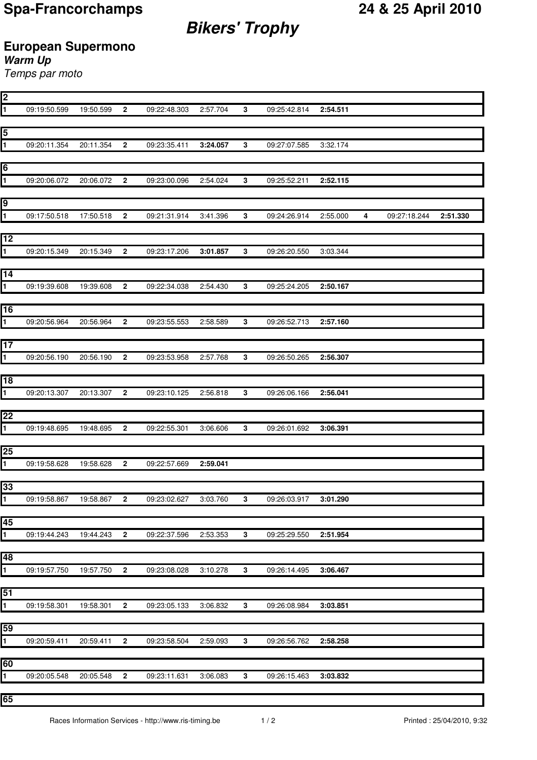**Bikers' Trophy**

## **European Supermono**

**Warm Up**

Temps par moto

| 2                       |                          |           |                |                       |          |                |                       |          |                         |              |          |
|-------------------------|--------------------------|-----------|----------------|-----------------------|----------|----------------|-----------------------|----------|-------------------------|--------------|----------|
| 1                       | 09:19:50.599             | 19:50.599 | $\mathbf{2}$   | 09:22:48.303          | 2:57.704 | $\mathbf{3}$   | 09:25:42.814          | 2:54.511 |                         |              |          |
|                         |                          |           |                |                       |          |                |                       |          |                         |              |          |
| 5                       |                          |           |                |                       |          |                |                       |          |                         |              |          |
| $\overline{\mathbf{1}}$ | 09:20:11.354             | 20:11.354 | $\overline{2}$ | 09:23:35.411          | 3:24.057 | $\mathbf{3}$   | 09:27:07.585          | 3:32.174 |                         |              |          |
|                         |                          |           |                |                       |          |                |                       |          |                         |              |          |
|                         |                          |           |                |                       |          |                |                       |          |                         |              |          |
| 6                       |                          |           |                |                       |          |                |                       |          |                         |              |          |
| 1                       | 09:20:06.072             | 20:06.072 | $\mathbf{2}$   | 09:23:00.096          | 2:54.024 | $\mathbf{3}$   | 09:25:52.211          | 2:52.115 |                         |              |          |
|                         |                          |           |                |                       |          |                |                       |          |                         |              |          |
| 9                       |                          |           |                |                       |          |                |                       |          |                         |              |          |
| 1                       | 09:17:50.518             | 17:50.518 | $\overline{2}$ | 09:21:31.914          | 3:41.396 | 3              | 09:24:26.914          | 2:55.000 | $\overline{\mathbf{4}}$ | 09:27:18.244 | 2:51.330 |
|                         |                          |           |                |                       |          |                |                       |          |                         |              |          |
| 12                      |                          |           |                |                       |          |                |                       |          |                         |              |          |
| $\overline{\mathbf{1}}$ | 09:20:15.349             | 20:15.349 | $\mathbf{2}$   | 09:23:17.206          | 3:01.857 | $\mathbf{3}$   | 09:26:20.550          | 3:03.344 |                         |              |          |
|                         |                          |           |                |                       |          |                |                       |          |                         |              |          |
| 14                      |                          |           |                |                       |          |                |                       |          |                         |              |          |
|                         |                          |           |                |                       |          |                |                       |          |                         |              |          |
| $\overline{\mathbf{1}}$ | 09:19:39.608             | 19:39.608 | $\mathbf{2}$   | 09:22:34.038          | 2:54.430 | 3              | 09:25:24.205          | 2:50.167 |                         |              |          |
|                         |                          |           |                |                       |          |                |                       |          |                         |              |          |
| 16                      |                          |           |                |                       |          |                |                       |          |                         |              |          |
| $\overline{\mathbf{1}}$ | 09:20:56.964             | 20:56.964 | $\overline{2}$ | 09:23:55.553          | 2:58.589 | 3              | 09:26:52.713          | 2:57.160 |                         |              |          |
|                         |                          |           |                |                       |          |                |                       |          |                         |              |          |
| 17                      |                          |           |                |                       |          |                |                       |          |                         |              |          |
| $\mathbf{1}$            | 09:20:56.190             | 20:56.190 | $\mathbf{2}$   | 09:23:53.958          | 2:57.768 | 3              | 09:26:50.265          | 2:56.307 |                         |              |          |
|                         |                          |           |                |                       |          |                |                       |          |                         |              |          |
| 18                      |                          |           |                |                       |          |                |                       |          |                         |              |          |
| $\overline{\mathbf{1}}$ | 09:20:13.307             | 20:13.307 | $\overline{2}$ | 09:23:10.125          | 2:56.818 | 3              | 09:26:06.166          | 2:56.041 |                         |              |          |
|                         |                          |           |                |                       |          |                |                       |          |                         |              |          |
| 22                      |                          |           |                |                       |          |                |                       |          |                         |              |          |
|                         |                          |           |                |                       |          |                |                       |          |                         |              |          |
| $\overline{\mathbf{1}}$ | 09:19:48.695             | 19:48.695 | $\overline{2}$ | 09:22:55.301          | 3:06.606 | 3              | 09:26:01.692          | 3:06.391 |                         |              |          |
|                         |                          |           |                |                       |          |                |                       |          |                         |              |          |
| 25                      |                          |           |                |                       |          |                |                       |          |                         |              |          |
| $\overline{\mathbf{1}}$ | 09:19:58.628             | 19:58.628 | $\mathbf{2}$   | 09:22:57.669          | 2:59.041 |                |                       |          |                         |              |          |
|                         |                          |           |                |                       |          |                |                       |          |                         |              |          |
| 33                      |                          |           |                |                       |          |                |                       |          |                         |              |          |
| μ.                      | 09:19:58.86/ 19:58.86/ 2 |           |                | 09:23:02.627          | 3.03.760 | 3.             | 09:26:03.91/          | 3:01.290 |                         |              |          |
|                         |                          |           |                |                       |          |                |                       |          |                         |              |          |
| 45                      |                          |           |                |                       |          |                |                       |          |                         |              |          |
| $\overline{1}$          | 09:19:44.243  19:44.243  |           | $\overline{2}$ | 09:22:37.596          | 2:53.353 | 3 <sup>1</sup> | 09:25:29.550          | 2:51.954 |                         |              |          |
|                         |                          |           |                |                       |          |                |                       |          |                         |              |          |
|                         |                          |           |                |                       |          |                |                       |          |                         |              |          |
| 48                      |                          |           |                |                       |          |                |                       |          |                         |              |          |
| $\overline{\mathbf{1}}$ | 09:19:57.750 19:57.750   |           | $\mathbf{2}$   | 09:23:08.028 3:10.278 |          | $\mathbf{3}$   | 09:26:14.495 3:06.467 |          |                         |              |          |
|                         |                          |           |                |                       |          |                |                       |          |                         |              |          |
| 51                      |                          |           |                |                       |          |                |                       |          |                         |              |          |
| $\overline{\mathbf{1}}$ | 09:19:58.301  19:58.301  |           | $\overline{2}$ | 09:23:05.133 3:06.832 |          | $3^{\circ}$    | 09:26:08.984          | 3:03.851 |                         |              |          |
|                         |                          |           |                |                       |          |                |                       |          |                         |              |          |
| 59                      |                          |           |                |                       |          |                |                       |          |                         |              |          |
| $\overline{\mathbf{1}}$ | 09:20:59.411             | 20:59.411 | $\overline{2}$ | 09:23:58.504 2:59.093 |          | $\mathbf{3}$   | 09:26:56.762          | 2:58.258 |                         |              |          |
|                         |                          |           |                |                       |          |                |                       |          |                         |              |          |
| 60                      |                          |           |                |                       |          |                |                       |          |                         |              |          |
| $\overline{\mathbf{1}}$ | 09:20:05.548             | 20:05.548 | $\mathbf{2}$   | 09:23:11.631          | 3:06.083 | $\mathbf{3}$   | 09:26:15.463          | 3:03.832 |                         |              |          |
|                         |                          |           |                |                       |          |                |                       |          |                         |              |          |
|                         |                          |           |                |                       |          |                |                       |          |                         |              |          |
| 65                      |                          |           |                |                       |          |                |                       |          |                         |              |          |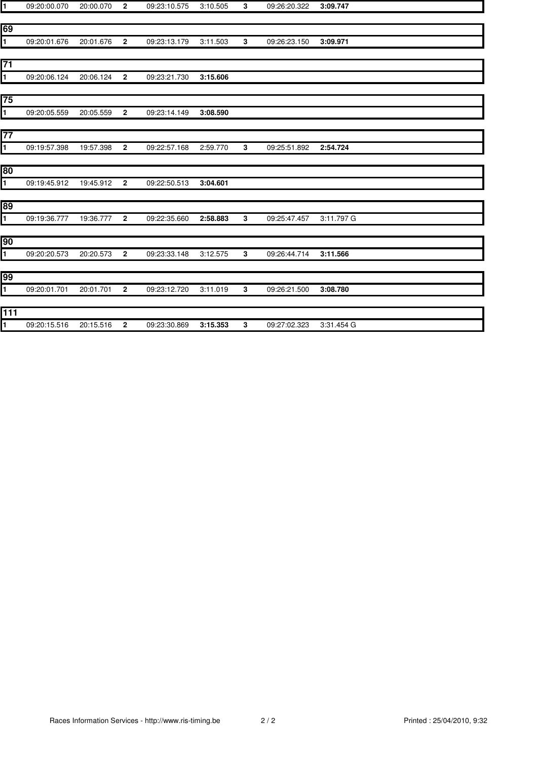| ł1             | 09:20:00.070 | 20:00.070 | $\overline{2}$ | 09:23:10.575 | 3:10.505 | 3 | 09:26:20.322 | 3:09.747   |
|----------------|--------------|-----------|----------------|--------------|----------|---|--------------|------------|
|                |              |           |                |              |          |   |              |            |
| 69             |              |           |                |              |          |   |              |            |
| $\blacksquare$ | 09:20:01.676 | 20:01.676 | $\mathbf{2}$   | 09:23:13.179 | 3:11.503 | 3 | 09:26:23.150 | 3:09.971   |
|                |              |           |                |              |          |   |              |            |
| 71             |              |           |                |              |          |   |              |            |
| 1              | 09:20:06.124 | 20:06.124 | $\overline{2}$ | 09:23:21.730 | 3:15.606 |   |              |            |
| 75             |              |           |                |              |          |   |              |            |
| 1              | 09:20:05.559 | 20:05.559 | $\mathbf{2}$   | 09:23:14.149 | 3:08.590 |   |              |            |
|                |              |           |                |              |          |   |              |            |
| 77             |              |           |                |              |          |   |              |            |
| 1              | 09:19:57.398 | 19:57.398 | $\mathbf{2}$   | 09:22:57.168 | 2:59.770 | 3 | 09:25:51.892 | 2:54.724   |
|                |              |           |                |              |          |   |              |            |
| 80             |              |           |                |              |          |   |              |            |
| 1              | 09:19:45.912 | 19:45.912 | $\overline{2}$ | 09:22:50.513 | 3:04.601 |   |              |            |
|                |              |           |                |              |          |   |              |            |
| 89             |              |           |                |              |          |   |              |            |
| ī              | 09:19:36.777 | 19:36.777 | $\overline{2}$ | 09:22:35.660 | 2:58.883 | 3 | 09:25:47.457 | 3:11.797 G |
| 90             |              |           |                |              |          |   |              |            |
| 1              | 09:20:20.573 | 20:20.573 | $\mathbf{2}$   | 09:23:33.148 | 3:12.575 | 3 | 09:26:44.714 | 3:11.566   |
|                |              |           |                |              |          |   |              |            |
| 99             |              |           |                |              |          |   |              |            |
| $\blacksquare$ | 09:20:01.701 | 20:01.701 | $\mathbf{2}$   | 09:23:12.720 | 3:11.019 | 3 | 09:26:21.500 | 3:08.780   |
|                |              |           |                |              |          |   |              |            |
| 111            |              |           |                |              |          |   |              |            |
| 1              | 09:20:15.516 | 20:15.516 | $\mathbf{2}$   | 09:23:30.869 | 3:15.353 | 3 | 09:27:02.323 | 3:31.454 G |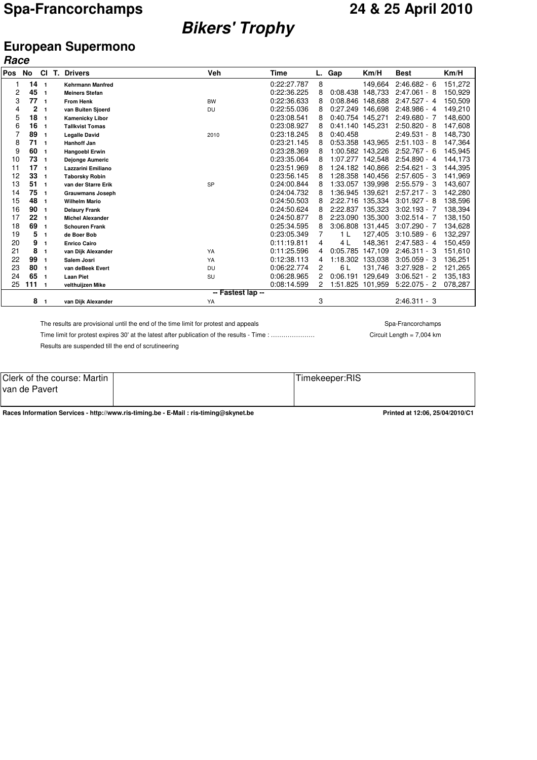# **Bikers' Trophy**

### **European Supermono Race**

| <b>Pos</b> | No       | CI           | T. Drivers              | <b>Veh</b>        | Time        | L.             | Gap              | Km/H    | <b>Best</b>    | Km/H    |
|------------|----------|--------------|-------------------------|-------------------|-------------|----------------|------------------|---------|----------------|---------|
| 1          | 14       |              | <b>Kehrmann Manfred</b> |                   | 0:22:27.787 | 8              |                  | 149,664 | $2:46.682 - 6$ | 151,272 |
| 2          | 45       | -1<br>1      | <b>Meiners Stefan</b>   |                   | 0:22:36.225 | 8              | 0:08.438         | 148.733 | $2:47.061 - 8$ | 150,929 |
| 3          | 77       | -1           | <b>From Henk</b>        | <b>BW</b>         | 0:22:36.633 | 8              | 0:08.846         | 148,688 | $2:47.527 - 4$ | 150,509 |
| 4          | 2        | 1            |                         |                   | 0:22:55.036 | 8              | 0:27.249         | 146.698 | $2:48.986 - 4$ | 149,210 |
| 5          | 18       |              | van Buiten Sjoerd       | <b>DU</b>         | 0:23:08.541 | 8              | 0:40.754         | 145.271 | $2:49.680 - 7$ | 148,600 |
|            | 16       | $\mathbf{1}$ | <b>Kamenicky Libor</b>  |                   | 0:23:08.927 |                | 0:41.140         |         |                |         |
| 6          |          | 1            | <b>Tallkvist Tomas</b>  |                   |             | 8              |                  | 145,231 | $2:50.820 - 8$ | 147,608 |
| 7          | 89<br>71 | 1            | <b>Legalle David</b>    | 2010              | 0:23:18.245 | 8              | 0:40.458         |         | $2:49.531 - 8$ | 148,730 |
| 8          |          | $\mathbf{1}$ | <b>Hanhoff Jan</b>      |                   | 0:23:21.145 | 8              | 0:53.358         | 143,965 | $2:51.103 - 8$ | 147,364 |
| 9          | 60       | -1           | <b>Hangoebl Erwin</b>   |                   | 0:23:28.369 | 8              | 1:00.582         | 143.226 | $2:52.767 - 6$ | 145,945 |
| 10         | 73       | -1           | <b>Dejonge Aumeric</b>  |                   | 0:23:35.064 | 8              | 1:07.277 142.548 |         | $2:54.890 - 4$ | 144,173 |
| 11         | 17       | $\mathbf{1}$ | Lazzarini Emiliano      |                   | 0:23:51.969 | 8              | 1:24.182         | 140.866 | $2:54.621 - 3$ | 144,395 |
| 12         | 33       | $\mathbf{1}$ | <b>Taborsky Robin</b>   |                   | 0:23:56.145 | 8              | 1:28.358         | 140.456 | $2:57.605 - 3$ | 141,969 |
| 13         | 51       | $\mathbf{1}$ | van der Starre Erik     | SP                | 0:24:00.844 | 8              | 1:33.057         | 139.998 | $2:55.579 - 3$ | 143,607 |
| 14         | 75       | $\mathbf{1}$ | <b>Grauwmans Joseph</b> |                   | 0:24:04.732 | 8              | 1:36.945         | 139.621 | $2:57.217 - 3$ | 142,280 |
| 15         | 48       | 1            | <b>Wilhelm Mario</b>    |                   | 0:24:50.503 | 8              | 2:22.716         | 135,334 | $3:01.927 - 8$ | 138,596 |
| 16         | 90       | 1            | <b>Delaury Frank</b>    |                   | 0:24:50.624 | 8              | 2:22.837         | 135.323 | $3:02.193 - 7$ | 138,394 |
| 17         | 22       | 1            | <b>Michel Alexander</b> |                   | 0:24:50.877 | 8              | 2:23.090         | 135,300 | $3:02.514 - 7$ | 138,150 |
| 18         | 69       | 1            | <b>Schouren Frank</b>   |                   | 0:25:34.595 | 8              | 3:06.808         | 131,445 | $3:07.290 - 7$ | 134,628 |
| 19         | 5        | $\mathbf{1}$ | de Boer Bob             |                   | 0:23:05.349 |                | 1 L              | 127,405 | $3:10.589 - 6$ | 132,297 |
| 20         | 9        | 1            | <b>Enrico Cairo</b>     |                   | 0:11:19.811 | 4              | 4 L              | 148,361 | $2:47.583 - 4$ | 150,459 |
| 21         | 8        | 1            | van Dijk Alexander      | YA                | 0:11:25.596 | 4              | 0:05.785         | 147,109 | $2:46.311 - 3$ | 151,610 |
| 22         | 99       | 1            | Salem Josri             | YA                | 0:12:38.113 | 4              | 1:18.302         | 133,038 | $3:05.059 - 3$ | 136,251 |
| 23         | 80       | $\mathbf{1}$ | van deBeek Evert        | <b>DU</b>         | 0:06:22.774 | $\overline{c}$ | 6 L              | 131.746 | $3:27.928 - 2$ | 121,265 |
| 24         | 65       | 1            | <b>Laan Piet</b>        | SU                | 0:06:28.965 | 2              | 0:06.191         | 129,649 | $3:06.521 - 2$ | 135,183 |
| 25         | 111      | -1           | velthuijzen Mike        |                   | 0:08:14.599 |                | 1:51.825         | 101,959 | $5:22.075 - 2$ | 078,287 |
|            |          |              |                         | -- Fastest lap -- |             |                |                  |         |                |         |
|            | 8        |              | van Dijk Alexander      | YA                |             | 3              |                  |         | $2:46.311 - 3$ |         |

The results are provisional until the end of the time limit for protest and appeals Spa-Francorchamps Spa-Francorchamps

Time limit for protest expires 30' at the latest after publication of the results - Time : ………………… Circuit Length = 7,004 km

Results are suspended till the end of scrutineering

| Clerk of the course: Martin | $- \cdot$<br>Timekeeper:RIS |
|-----------------------------|-----------------------------|
| ∥van de Pavert              |                             |
|                             |                             |

**Races Information Services - http://www.ris-timing.be - E-Mail : ris-timing@skynet.be Printed at 12:06, 25/04/2010/C1**